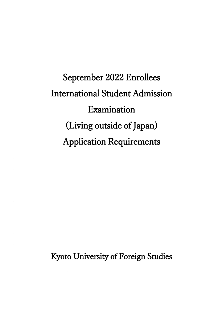September 2022 Enrollees International Student Admission Examination (Living outside of Japan) Application Requirements

Kyoto University of Foreign Studies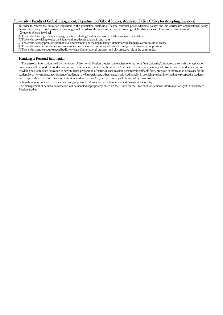#### University – Faculty of Global Engagement, Department of Global Studies; Admission Policy (Policy for Accepting Enrollees)

In order to receive the education stipulated in the graduation certification/degree conferral policy (diploma policy) and the curriculum organizational policy (curriculum policy), this department is seeking people who have the following necessary knowledge, skills, abilities, sense of purpose, and motivation. **[Students We are Seeking]** 

- ① Those who have high foreign language abilities including English, and wish to further improve their abilities.
- ② Those who are willing to take the initiative, think, decide, and act in any matter.
- ③ Those who actively promote international understanding by making full usage of their foreign language communication ability.
- ④ Those who are interested in various issues of the international community and want to engage in international cooperation.
- ⑤ Those who want to acquire specialized knowledge of international business, and play an active role in the community.

#### Handling of Personal Information

The personal information held by the Kyoto University of Foreign Studies (hereinafter referred to as "the university") in accordance with the application documents will be used for conducting entrance examinations, notifying the results of entrance examinations, sending admission procedure documents, and providing post-admission education to new students, preparation of statistical data in a non-personally identifiable form, provision of information necessary for the student life of new students, recruitment of students at the University, and other related work. Additionally, in providing various information to prospective students, we may provide it to Kyoto University of Foreign Studies Partners Co., Ltd. (a company wholly owned by the university).

Although we may outsource the data processing of personal information, we will supervise and manage it responsibly.

The management of personal information will be handled appropriately based on the "Rules for the Protection of Personal Information of Kyoto University of Foreign Studies".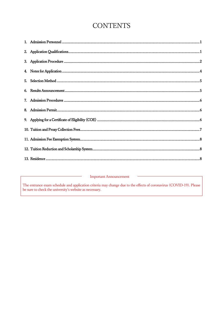# **CONTENTS**

**Important Announcement** 

The entrance exam schedule and application criteria may change due to the effects of coronavirus (COVID-19). Please be sure to check the university's website as necessary.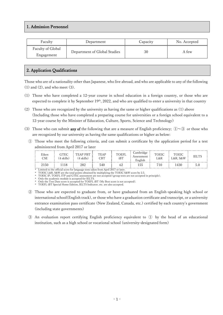## <span id="page-3-0"></span>1. Admission Personnel

| Faculty           | Department                   | Capacity | No. Accepted |  |
|-------------------|------------------------------|----------|--------------|--|
| Faculty of Global | Department of Global Studies | 30       | A few        |  |
| Engagement        |                              |          |              |  |

## <span id="page-3-1"></span>2. Application Qualifications

Those who are of a nationality other than Japanese, who live abroad, and who are applicable to any of the following  $(1)$  and  $(2)$ , and who meet  $(3)$ .

- (1) Those who have completed a 12-year course in school education in a foreign country, or those who are expected to complete it by September 19<sup>th</sup>, 2022, and who are qualified to enter a university in that country
- (2) Those who are recognized by the university as having the same or higher qualifications as (1) above (Including those who have completed a preparing course for universities or a foreign school equivalent to a 12-year course by the Minister of Education, Culture, Sports, Science and Technology)
- (3) Those who can submit **any of** the following that are a measure of English proficiency;  $\mathbb{O}\sim\mathbb{O}$  or those who are recognized by our university as having the same qualifications or higher as below:
	- ① Those who meet the following criteria, and can submit a certificate by the application period for a test administered from April 2017 or later

| Eiken<br>CSE                    | GTEC<br>(4 skills) | (4 skills) | TEAP<br>CBI | <b>DEFL</b><br>iBT | Cambridge<br>Assessment<br>±nglish | TOEIC<br>L&R | <b>TOEIC</b><br>∟&R, S&W | IELTS |
|---------------------------------|--------------------|------------|-------------|--------------------|------------------------------------|--------------|--------------------------|-------|
| 2150<br>$\cdot$ $\cdot$ $\cdot$ | .                  | 282        | 540         | $\cdots$ $\cdots$  | 155                                | Ί(           | .430                     | h     |

\* Limited to the official score for language tests taken from April 2017 or later.

\* TOEIC L&R, S&W are the total points obtained by multiplying the TOEIC S&W score by 2.5. \* TOEIC IP, TOEFL ITP and GTEC assessment are not accepted (group tests are not accepted in principle).

Only the academic module is accepted for IELTS.

Only the Test Date score is accepted for TOEFL iBT (My Best score is not accepted).

\* TOEFL iBT Special Home Edition, IELTS Indicator, etc. are also accepted.

- ② Those who are expected to graduate from, or have graduated from an English-speaking high school or international school(English track), or those who have a graduation certificate and transcript, or a university entrance examination pass certificate (New Zealand, Canada, etc.) certified by each country's government (including state governments)
- ③ An evaluation report certifying English proficiency equivalent to ① by the head of an educational institution, such as a high school or vocational school (university-designated form)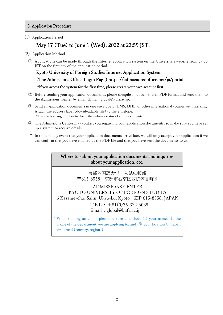### <span id="page-4-0"></span>3. Application Procedure

(1) Application Period

## May 17 (Tue) to June 1 (Wed), 2022 at 23:59 JST.

- (2) Application Method
	- ① Applications can be made through the Internet application system on the University's website from 09:00 JST on the first day of the application period.

## Kyoto University of Foreign Studies Internet Application System:

## (The Admissions Office Login Page)<https://admissions-office.net/ja/portal>

#### \*If you access the system for the first time, please create your own account first.

- ② Before sending your application documents, please compile all documents in PDF format and send them to the Admissions Center by email (Email: global@kufs.ac.jp).
- ③ Send all application documents in one envelope by EMS, DHL, or other international courier with tracking. Attach the address label (downloadable file) to the envelope. \*Use the tracking number to check the delivery status of your documents.
- ④ The Admissions Center may contact you regarding your application documents, so make sure you have set up a system to receive emails.
- In the unlikely event that your application documents arrive late, we will only accept your application if we can confirm that you have emailed us the PDF file and that you have sent the documents to us.

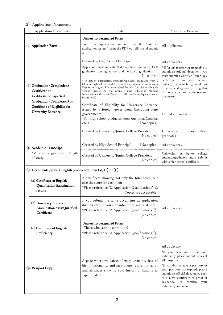## (3) Application Documents

| <b>Application Documents</b>                                                               | Style                                                                                                                                                                                                                                                                                                                                                                                                                                                                                                                 | Applicable Persons                                                                                                                                                                                                                                                                                                          |  |
|--------------------------------------------------------------------------------------------|-----------------------------------------------------------------------------------------------------------------------------------------------------------------------------------------------------------------------------------------------------------------------------------------------------------------------------------------------------------------------------------------------------------------------------------------------------------------------------------------------------------------------|-----------------------------------------------------------------------------------------------------------------------------------------------------------------------------------------------------------------------------------------------------------------------------------------------------------------------------|--|
| <b>Application Form</b>                                                                    | University-designated Form<br>Enter the application content from the "internet<br>application system," print the PDF out, fill in and submit<br>it.                                                                                                                                                                                                                                                                                                                                                                   | All applicants                                                                                                                                                                                                                                                                                                              |  |
| <b>Graduation</b> (Completion)<br>(2)<br>Certificate or<br><b>Certificate of Expected</b>  | Created by High School Principal<br>Applicants must indicate that they have graduated (will<br>graduate) from high school, and the date of graduation.<br>[No copies]<br>* In lieu of a transcript, students who have graduated from a<br>Chinese high school (middle school) may submit a Verification<br>Report of Higher Education Qualification Certificate (English<br>version) issued by the China Higher Education Student<br>Information and Career Center (CHSI). (including Japanese agent<br>institutions) | All applicants<br>* If for any reason you are unable to<br>submit an original document, you<br>must submit a Certified True Copy<br>certificate from your school,<br>embassy, consulate general, or<br>other official agency, proving that<br>the copy is the same as the original<br>document.                             |  |
| Graduation (Completion) or<br>Certificate of Eligibility for<br><b>University Entrance</b> | Certificate of Eligibility for University Entrance<br>issued by a foreign government (including state<br>governments)<br>(For high school graduates from Australia, Canada,<br>[No copies]<br>$etc.$ )                                                                                                                                                                                                                                                                                                                | Only if applicable                                                                                                                                                                                                                                                                                                          |  |
|                                                                                            | Created by University/Junior College President<br>[No copies]                                                                                                                                                                                                                                                                                                                                                                                                                                                         | University or junior college<br>graduates                                                                                                                                                                                                                                                                                   |  |
| 3 Academic Transcript                                                                      | Created by High School Principal<br>[No copies]                                                                                                                                                                                                                                                                                                                                                                                                                                                                       | All applicants                                                                                                                                                                                                                                                                                                              |  |
| *Must show grades and length<br>of study                                                   | Created by University/Junior College President<br>[No copies]                                                                                                                                                                                                                                                                                                                                                                                                                                                         | University<br>or junior<br>college<br>students/graduates must submit<br>with a high school certificate                                                                                                                                                                                                                      |  |
| Documents proving English proficiency, item (a), (b) or (C).                               |                                                                                                                                                                                                                                                                                                                                                                                                                                                                                                                       |                                                                                                                                                                                                                                                                                                                             |  |
| (a) Certificate of English<br>Qualification Examination<br>results                         | A certificate showing not only the total score, but<br>also the score for each item<br>*Please reference "2. Application Qualifications" <sup>(1)</sup> .<br>[Copies are acceptable]                                                                                                                                                                                                                                                                                                                                  |                                                                                                                                                                                                                                                                                                                             |  |
| (b) University Entrance<br>Examination pass/Qualified<br>Certificate                       | If you submit the same documents as application<br>documents (2), you may submit one material only.<br>*Please reference "2. Application Qualifications"2.<br>[No copies]                                                                                                                                                                                                                                                                                                                                             | All applicants                                                                                                                                                                                                                                                                                                              |  |
| (c) Certificate of English<br>Proficiency                                                  | University-designated Form<br>(Those who cannot submit (a))<br>*Please reference "2. Application Qualifications"3.<br>[No copies]                                                                                                                                                                                                                                                                                                                                                                                     |                                                                                                                                                                                                                                                                                                                             |  |
| <b>Passport Copy</b><br>(5)                                                                | A page where we can confirm your name, date of<br>birth, nationality, and face photo (currently valid)<br>and all pages showing your history of landing in<br>Japan to date                                                                                                                                                                                                                                                                                                                                           | All applicants<br>*If you have more than one<br>nationality, please submit copies of<br>all passports.<br>*If you do not have a passport or<br>your passport has expired, please<br>submit an official document, such<br>as a birth certificate or proof of<br>residency,<br>confirm<br>to<br>your<br>nationality and name. |  |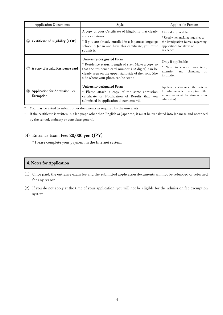| <b>Application Documents</b>                             | Style                                                                                                                                                                                                                                 | <b>Applicable Persons</b>                                                                                                             |
|----------------------------------------------------------|---------------------------------------------------------------------------------------------------------------------------------------------------------------------------------------------------------------------------------------|---------------------------------------------------------------------------------------------------------------------------------------|
| Certificate of Eligibility (COE)<br>(6)                  | A copy of your Certificate of Eligibility that clearly<br>shows all items<br>* If you are already enrolled in a Japanese language<br>school in Japan and have this certificate, you must<br>submit it.                                | Only if applicable<br>* Used when making inquiries to<br>the Immigration Bureau regarding<br>applications for status of<br>residence. |
| A copy of a valid Residence card                         | University-designated Form<br>* Residence status: Length of stay: Make a copy so<br>that the residence card number (12 digits) can be<br>clearly seen on the upper right side of the front (the<br>side where your photo can be seen) | Only if applicable<br>* Need to confirm visa term,<br>extension<br>changing<br>and<br><sub>on</sub><br>institution.                   |
| <b>Application for Admission Fee</b><br>(8)<br>Exemption | University-designated Form<br>Please attach a copy of the same admission<br>certificate or Notification of Results that you<br>submitted in application documents 4.                                                                  | Applicants who meet the criteria<br>for admission fee exemption (the<br>same amount will be refunded after<br>admission)              |

You may be asked to submit other documents as required by the university.

\* If the certificate is written in a language other than English or Japanese, it must be translated into Japanese and notarized by the school, embassy or consulate general.

## (4) Entrance Exam Fee: 20,000 yen (JPY)

\* Please complete your payment in the Internet system.

## <span id="page-6-0"></span>4. Notes for Application

- (1) Once paid, the entrance exam fee and the submitted application documents will not be refunded or returned for any reason.
- (2) If you do not apply at the time of your application, you will not be eligible for the admission fee exemption system.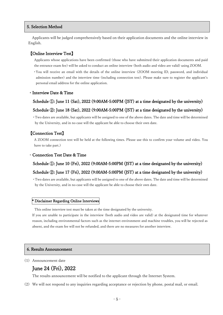#### <span id="page-7-0"></span>5. Selection Method

Applicants will be judged comprehensively based on their application documents and the online interview in English.

#### 【Online Interview Test】

Applicants whose applications have been confirmed (those who have submitted their application documents and paid the entrance exam fee) will be asked to conduct an online interview (both audio and video are valid) using ZOOM.

\* You will receive an email with the details of the online interview (ZOOM meeting ID, password, and individual admission number) and the interview time (including connection test). Please make sure to register the applicant's personal email address for the online application.

#### ・Interview Date & Time

#### Schedule (1): June 11 (Sat), 2022 (9:00AM-5:00PM (JST) at a time designated by the university)

#### Schedule ②: June 18 (Sat), 2022 (9:00AM-5:00PM (JST) at a time designated by the university)

\* Two dates are available, but applicants will be assigned to one of the above dates. The date and time will be determined by the University, and in no case will the applicant be able to choose their own date.

#### 【Connection Test】

A ZOOM connection test will be held at the following times. Please use this to confirm your volume and video. You have to take part.)

#### **Connection Test Date & Time**

#### Schedule (1): June 10 (Fri), 2022 (9:00AM-5:00PM (JST) at a time designated by the university)

#### Schedule ②: June 17 (Fri), 2022 (9:00AM-5:00PM (JST) at a time designated by the university)

\* Two dates are available, but applicants will be assigned to one of the above dates. The date and time will be determined by the University, and in no case will the applicant be able to choose their own date.

#### \* Disclaimer Regarding Online Interviews

This online interview test must be taken at the time designated by the university.

If you are unable to participate in the interview (both audio and video are valid) at the designated time for whatever reason, including environmental factors such as the internet environment and machine troubles, you will be rejected as absent, and the exam fee will not be refunded, and there are no measures for another interview.

#### <span id="page-7-1"></span>6. Results Announcement

#### (1) Announcement date

## June 24 (Fri), 2022

The results announcement will be notified to the applicant through the Internet System.

(2) We will not respond to any inquiries regarding acceptance or rejection by phone, postal mail, or email.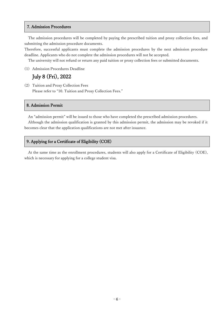#### <span id="page-8-0"></span>7. Admission Procedures

The admission procedures will be completed by paying the prescribed tuition and proxy collection fees, and submitting the admission procedure documents.

Therefore, successful applicants must complete the admission procedures by the next admission procedure deadline. Applicants who do not complete the admission procedures will not be accepted.

The university will not refund or return any paid tuition or proxy collection fees or submitted documents.

(1) Admission Procedures Deadline

## July 8 (Fri), 2022

(2) Tuition and Proxy Collection Fees Please refer to "10. Tuition and Proxy Collection Fees."

### <span id="page-8-1"></span>8. Admission Permit

An "admission permit" will be issued to those who have completed the prescribed admission procedures.

Although the admission qualification is granted by this admission permit, the admission may be revoked if it becomes clear that the application qualifications are not met after issuance.

#### <span id="page-8-2"></span>9. Applying for a Certificate of Eligibility (COE)

At the same time as the enrollment procedures, students will also apply for a Certificate of Eligibility (COE), which is necessary for applying for a college student visa.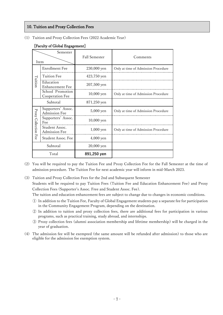#### <span id="page-9-0"></span>10. Tuition and Proxy Collection Fees

(1) Tuition and Proxy Collection Fees (2022 Academic Year)

| Semester<br>Item     |                                            | <b>Fall Semester</b> | Comments                            |  |
|----------------------|--------------------------------------------|----------------------|-------------------------------------|--|
|                      | <b>Enrollment Fee</b>                      | 230,000 yen          | Only at time of Admission Procedure |  |
|                      | Tuition Fee                                | 423,750 yen          |                                     |  |
| Tuition              | Education<br>Enhancement Fee               | $207,500$ yen        |                                     |  |
|                      | School Promotion<br>Cooperation Fee        | $10,000$ yen         | Only at time of Admission Procedure |  |
| Subtotal             |                                            | 871,250 yen          |                                     |  |
|                      | Supporters' Assoc.<br><b>Admission Fee</b> | $5,000$ yen          | Only at time of Admission Procedure |  |
|                      | Supporters' Assoc.<br>Fee                  | $10,000$ yen         |                                     |  |
| Proxy Collection Fee | Student Assoc.<br><b>Admission Fee</b>     | $1,000$ yen          | Only at time of Admission Procedure |  |
|                      | Student Assoc. Fee                         | 4,000 yen            |                                     |  |
| Subtotal             |                                            | 20,000 yen           |                                     |  |
| Total                |                                            | 891,250 yen          |                                     |  |

#### [Faculty of Global Engagement]

(2) You will be required to pay the Tuition Fee and Proxy Collection Fee for the Fall Semester at the time of admission procedure. The Tuition Fee for next academic year will inform in mid-March 2023.

(3) Tuition and Proxy Collection Fees for the 2nd and Subsequent Semester Students will be required to pay Tuition Fees (Tuition Fee and Education Enhancement Fee) and Proxy Collection Fees (Supporter's Assoc. Free and Student Assoc. Fee).

The tuition and education enhancement fees are subject to change due to changes in economic conditions.

- ① In addition to the Tuition Fee, Faculty of Global Engagement students pay a separate fee for participation in the Community Engagement Program, depending on the destination.
- ② In addition to tuition and proxy collection fees, there are additional fees for participation in various programs, such as practical training, study abroad, and internships.
- ③ Proxy collection fees (alumni association membership and lifetime membership) will be charged in the year of graduation.
- (4) The admission fee will be exempted (the same amount will be refunded after admission) to those who are eligible for the admission fee exemption system.